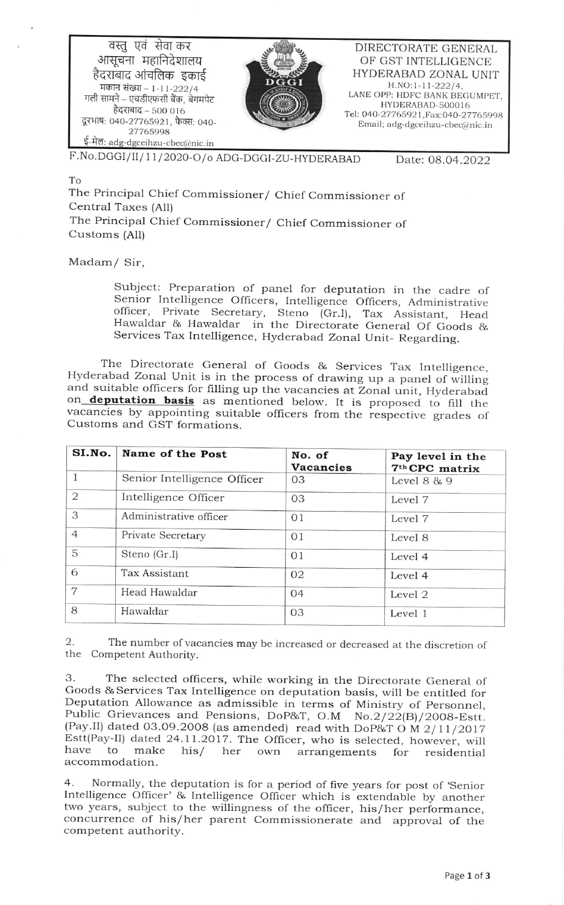वस्तु एवं सेवा कर आसूचना महानिदेशालय हैदराबाद आंचलिक इकाई मकान संख्या - 1-11-222/4 गली सामने – एचडीएफसी बैंक, बेगमपेट हैदराबाद - 500 016 दूरभाष: 040-27765921, फैक्स: 040-27765998 ई-मेल: adg-dgceihzu-cbec@nic.in



DIRECTORATE GENERAL OF GST INTELLIGENCE HYDERABAD ZONAL UNIT  $H.NO:1-11-222/4,$ LANE OPP: HDFC BANK BEGUMPET, HYDERABAD-500016 Tel: 040-27765921, Fax: 040-27765998 Email; adg-dgceihzu-cbec@nic.in

F.No.DGGI/II/11/2020-O/o ADG-DGGI-ZU-HYDERABAD

Date: 08.04.2022

## To

The Principal Chief Commissioner/ Chief Commissioner of Central Taxes (All) The Principal Chief Commissioner/ Chief Commissioner of Customs (All)

Madam/ Sir,

Subject: Preparation of panel for deputation in the cadre of Senior Intelligence Officers, Intelligence Officers, Administrative officer, Private Secretary, Steno (Gr.I), Tax Assistant, Head Hawaldar & Hawaldar in the Directorate General Of Goods & Services Tax Intelligence, Hyderabad Zonal Unit- Regarding.

The Directorate General of Goods & Services Tax Intelligence, Hyderabad Zonal Unit is in the process of drawing up a panel of willing and suitable officers for filling up the vacancies at Zonal unit, Hyderabad on **deputation basis** as mentioned below. It is proposed to fill the vacancies by appointing suitable officers from the respective grades of Customs and GST formations.

| SI.No.         | Name of the Post            | No. of<br><b>Vacancies</b> | Pay level in the<br>7 <sup>th</sup> CPC matrix |
|----------------|-----------------------------|----------------------------|------------------------------------------------|
|                | Senior Intelligence Officer | 03                         | Level 8 & 9                                    |
| 2              | Intelligence Officer        | 03                         | Level 7                                        |
| 3              | Administrative officer      | 01                         | Level 7                                        |
| $\overline{4}$ | Private Secretary           | 01                         | Level 8                                        |
| 5              | Steno (Gr.I)                | 01                         | Level 4                                        |
| 6              | Tax Assistant               | 02                         | Level 4                                        |
| 7              | Head Hawaldar               | 04                         | Level 2                                        |
| 8              | Hawaldar                    | 03                         | Level 1                                        |

The number of vacancies may be increased or decreased at the discretion of 2. the Competent Authority.

The selected officers, while working in the Directorate General of 3. Goods & Services Tax Intelligence on deputation basis, will be entitled for Deputation Allowance as admissible in terms of Ministry of Personnel, Public Grievances and Pensions, DoP&T, O.M No.2/22(B)/2008-Estt. (Pay.II) dated 03.09.2008 (as amended) read with DoP&T O M 2/11/2017 Estt(Pay-II) dated 24.11.2017. The Officer, who is selected, however, will have to make  $his/$ her own arrangements for residential accommodation.

 $4.$ Normally, the deputation is for a period of five years for post of 'Senior Intelligence Officer' & Intelligence Officer which is extendable by another two years, subject to the willingness of the officer, his/her performance, concurrence of his/her parent Commissionerate and approval of the competent authority.